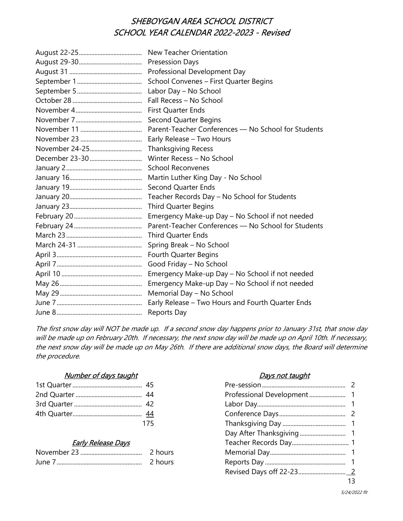# SHEBOYGAN AREA SCHOOL DISTRICT SCHOOL YEAR CALENDAR 2022-2023 - Revised

| New Teacher Orientation                             |
|-----------------------------------------------------|
| <b>Presession Days</b>                              |
| Professional Development Day                        |
| School Convenes - First Quarter Begins              |
| Labor Day - No School                               |
| Fall Recess - No School                             |
| First Quarter Ends                                  |
| <b>Second Quarter Begins</b>                        |
| Parent-Teacher Conferences - No School for Students |
| Early Release - Two Hours                           |
| <b>Thanksgiving Recess</b>                          |
| Winter Recess - No School                           |
| <b>School Reconvenes</b>                            |
| Martin Luther King Day - No School                  |
| <b>Second Quarter Ends</b>                          |
| Teacher Records Day - No School for Students        |
| <b>Third Quarter Begins</b>                         |
| Emergency Make-up Day - No School if not needed     |
| Parent-Teacher Conferences - No School for Students |
| <b>Third Quarter Ends</b>                           |
| Spring Break - No School                            |
| Fourth Quarter Begins                               |
| Good Friday - No School                             |
| Emergency Make-up Day - No School if not needed     |
| Emergency Make-up Day - No School if not needed     |
| Memorial Day - No School                            |
| Early Release - Two Hours and Fourth Quarter Ends   |
| Reports Day                                         |

The first snow day will NOT be made up. If a second snow day happens prior to January 31st, that snow day will be made up on February 20th. If necessary, the next snow day will be made up on April 10th. If necessary, the next snow day will be made up on May 26th. If there are additional snow days, the Board will determine the procedure.

### Number of days taught **Days not taught**

| 175 |  |
|-----|--|

### Early Release Days

| November 23 | 2 hours | Memorial Day. |  |
|-------------|---------|---------------|--|
| June        | hours   | Reports Day   |  |

|                           | 175 |  |
|---------------------------|-----|--|
|                           |     |  |
| <b>Early Release Days</b> |     |  |
|                           |     |  |
|                           |     |  |
|                           |     |  |
|                           |     |  |